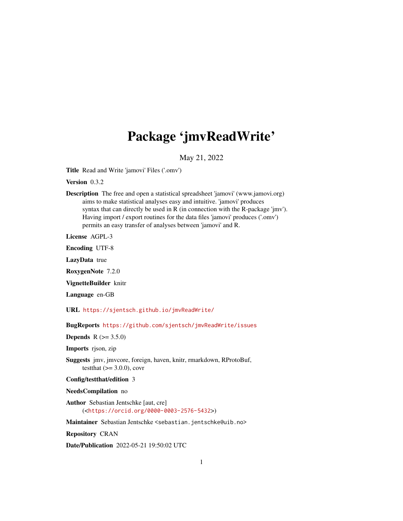## Package 'jmvReadWrite'

May 21, 2022

Title Read and Write 'jamovi' Files ('.omv')

Version 0.3.2

Description The free and open a statistical spreadsheet 'jamovi' (www.jamovi.org) aims to make statistical analyses easy and intuitive. 'jamovi' produces syntax that can directly be used in R (in connection with the R-package 'jmv'). Having import / export routines for the data files 'jamovi' produces ('.omv') permits an easy transfer of analyses between 'jamovi' and R.

License AGPL-3

Encoding UTF-8

LazyData true

RoxygenNote 7.2.0

VignetteBuilder knitr

Language en-GB

URL <https://sjentsch.github.io/jmvReadWrite/>

BugReports <https://github.com/sjentsch/jmvReadWrite/issues>

**Depends** R  $(>= 3.5.0)$ 

Imports rjson, zip

Suggests jmv, jmvcore, foreign, haven, knitr, rmarkdown, RProtoBuf, testthat  $(>= 3.0.0)$ , covr

Config/testthat/edition 3

NeedsCompilation no

Author Sebastian Jentschke [aut, cre] (<<https://orcid.org/0000-0003-2576-5432>>)

Maintainer Sebastian Jentschke <sebastian.jentschke@uib.no>

Repository CRAN

Date/Publication 2022-05-21 19:50:02 UTC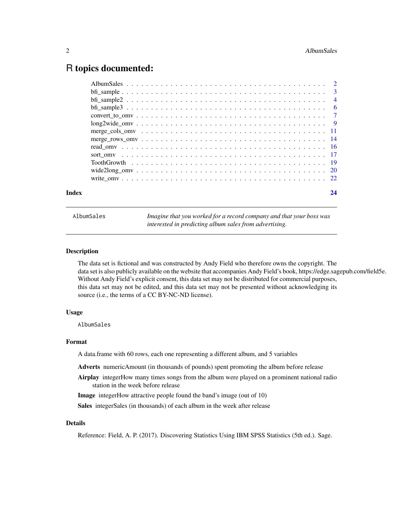### <span id="page-1-0"></span>R topics documented:

| Index |                                                                                                                 | 24 |
|-------|-----------------------------------------------------------------------------------------------------------------|----|
|       |                                                                                                                 |    |
|       |                                                                                                                 |    |
|       |                                                                                                                 |    |
|       |                                                                                                                 |    |
|       |                                                                                                                 |    |
|       |                                                                                                                 |    |
|       |                                                                                                                 |    |
|       | $long2wide_{conv} \ldots \ldots \ldots \ldots \ldots \ldots \ldots \ldots \ldots \ldots \ldots \ldots \ldots 9$ |    |
|       |                                                                                                                 |    |
|       |                                                                                                                 |    |
|       |                                                                                                                 |    |
|       |                                                                                                                 |    |
|       |                                                                                                                 |    |

AlbumSales *Imagine that you worked for a record company and that your boss was interested in predicting album sales from advertising.*

#### Description

The data set is fictional and was constructed by Andy Field who therefore owns the copyright. The data set is also publicly available on the website that accompanies Andy Field's book, https://edge.sagepub.com/field5e. Without Andy Field's explicit consent, this data set may not be distributed for commercial purposes, this data set may not be edited, and this data set may not be presented without acknowledging its source (i.e., the terms of a CC BY-NC-ND license).

#### Usage

AlbumSales

#### Format

A data.frame with 60 rows, each one representing a different album, and 5 variables

Adverts numericAmount (in thousands of pounds) spent promoting the album before release

Airplay integerHow many times songs from the album were played on a prominent national radio station in the week before release

Image integerHow attractive people found the band's image (out of 10)

Sales integerSales (in thousands) of each album in the week after release

#### Details

Reference: Field, A. P. (2017). Discovering Statistics Using IBM SPSS Statistics (5th ed.). Sage.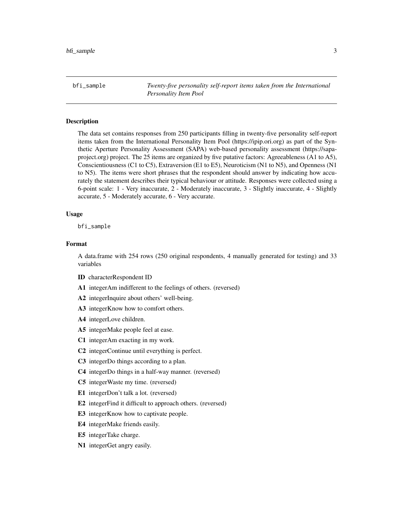<span id="page-2-0"></span>bfi\_sample *Twenty-five personality self-report items taken from the International Personality Item Pool*

#### **Description**

The data set contains responses from 250 participants filling in twenty-five personality self-report items taken from the International Personality Item Pool (https://ipip.ori.org) as part of the Synthetic Aperture Personality Assessment (SAPA) web-based personality assessment (https://sapaproject.org) project. The 25 items are organized by five putative factors: Agreeableness (A1 to A5), Conscientiousness (C1 to C5), Extraversion (E1 to E5), Neuroticism (N1 to N5), and Openness (N1 to N5). The items were short phrases that the respondent should answer by indicating how accurately the statement describes their typical behaviour or attitude. Responses were collected using a 6-point scale: 1 - Very inaccurate, 2 - Moderately inaccurate, 3 - Slightly inaccurate, 4 - Slightly accurate, 5 - Moderately accurate, 6 - Very accurate.

#### Usage

bfi\_sample

#### Format

A data.frame with 254 rows (250 original respondents, 4 manually generated for testing) and 33 variables

- ID characterRespondent ID
- A1 integerAm indifferent to the feelings of others. (reversed)
- A2 integerInquire about others' well-being.
- A3 integerKnow how to comfort others.
- A4 integerLove children.
- A5 integerMake people feel at ease.
- C1 integerAm exacting in my work.
- C2 integerContinue until everything is perfect.
- C3 integerDo things according to a plan.
- C4 integerDo things in a half-way manner. (reversed)
- C5 integerWaste my time. (reversed)
- E1 integerDon't talk a lot. (reversed)
- E2 integerFind it difficult to approach others. (reversed)
- E3 integerKnow how to captivate people.
- E4 integerMake friends easily.
- E5 integerTake charge.
- N1 integerGet angry easily.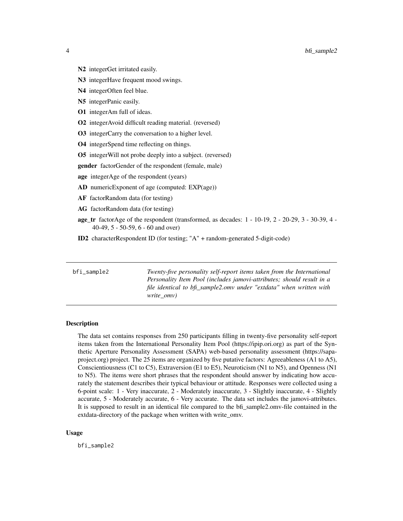- <span id="page-3-0"></span>
- N2 integerGet irritated easily.
- N3 integerHave frequent mood swings.
- N4 integerOften feel blue.
- N5 integerPanic easily.
- O1 integerAm full of ideas.
- O2 integerAvoid difficult reading material. (reversed)
- O3 integerCarry the conversation to a higher level.
- O4 integerSpend time reflecting on things.
- O5 integerWill not probe deeply into a subject. (reversed)
- gender factorGender of the respondent (female, male)
- age integerAge of the respondent (years)
- AD numericExponent of age (computed: EXP(age))
- AF factorRandom data (for testing)
- AG factorRandom data (for testing)
- age\_tr factorAge of the respondent (transformed, as decades: 1 10-19, 2 20-29, 3 30-39, 4 40-49, 5 - 50-59, 6 - 60 and over)
- ID2 characterRespondent ID (for testing; "A" + random-generated 5-digit-code)

bfi\_sample2 *Twenty-five personality self-report items taken from the International Personality Item Pool (includes jamovi-attributes; should result in a file identical to bfi\_sample2.omv under "extdata" when written with write\_omv)*

#### **Description**

The data set contains responses from 250 participants filling in twenty-five personality self-report items taken from the International Personality Item Pool (https://ipip.ori.org) as part of the Synthetic Aperture Personality Assessment (SAPA) web-based personality assessment (https://sapaproject.org) project. The 25 items are organized by five putative factors: Agreeableness (A1 to A5), Conscientiousness (C1 to C5), Extraversion (E1 to E5), Neuroticism (N1 to N5), and Openness (N1 to N5). The items were short phrases that the respondent should answer by indicating how accurately the statement describes their typical behaviour or attitude. Responses were collected using a 6-point scale: 1 - Very inaccurate, 2 - Moderately inaccurate, 3 - Slightly inaccurate, 4 - Slightly accurate, 5 - Moderately accurate, 6 - Very accurate. The data set includes the jamovi-attributes. It is supposed to result in an identical file compared to the bfi\_sample2.omv-file contained in the extdata-directory of the package when written with write omv.

#### Usage

bfi\_sample2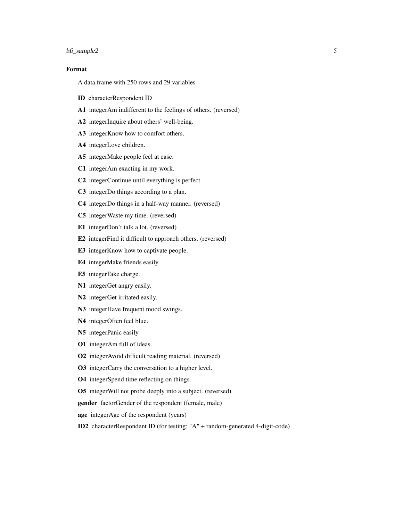#### bfi\_sample2 5

#### Format

A data.frame with 250 rows and 29 variables

- ID characterRespondent ID
- A1 integerAm indifferent to the feelings of others. (reversed)
- A2 integerInquire about others' well-being.
- A3 integerKnow how to comfort others.
- A4 integerLove children.
- A5 integerMake people feel at ease.
- C1 integerAm exacting in my work.
- C2 integerContinue until everything is perfect.
- C3 integerDo things according to a plan.
- C4 integerDo things in a half-way manner. (reversed)
- C5 integerWaste my time. (reversed)
- E1 integerDon't talk a lot. (reversed)
- E2 integerFind it difficult to approach others. (reversed)
- E3 integerKnow how to captivate people.
- E4 integerMake friends easily.
- E5 integerTake charge.
- N1 integerGet angry easily.
- N<sub>2</sub> integerGet irritated easily.
- N3 integerHave frequent mood swings.
- N4 integerOften feel blue.
- N5 integerPanic easily.
- O1 integerAm full of ideas.
- O2 integerAvoid difficult reading material. (reversed)
- O3 integerCarry the conversation to a higher level.
- O4 integerSpend time reflecting on things.
- O5 integerWill not probe deeply into a subject. (reversed)
- gender factorGender of the respondent (female, male)
- age integerAge of the respondent (years)
- ID2 characterRespondent ID (for testing; "A" + random-generated 4-digit-code)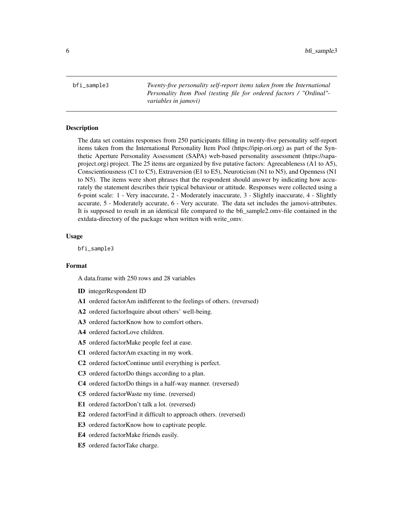<span id="page-5-0"></span>bfi\_sample3 *Twenty-five personality self-report items taken from the International Personality Item Pool (testing file for ordered factors / "Ordinal" variables in jamovi)*

#### Description

The data set contains responses from 250 participants filling in twenty-five personality self-report items taken from the International Personality Item Pool (https://ipip.ori.org) as part of the Synthetic Aperture Personality Assessment (SAPA) web-based personality assessment (https://sapaproject.org) project. The 25 items are organized by five putative factors: Agreeableness (A1 to A5), Conscientiousness (C1 to C5), Extraversion (E1 to E5), Neuroticism (N1 to N5), and Openness (N1 to N5). The items were short phrases that the respondent should answer by indicating how accurately the statement describes their typical behaviour or attitude. Responses were collected using a 6-point scale: 1 - Very inaccurate, 2 - Moderately inaccurate, 3 - Slightly inaccurate, 4 - Slightly accurate, 5 - Moderately accurate, 6 - Very accurate. The data set includes the jamovi-attributes. It is supposed to result in an identical file compared to the bfi\_sample2.omv-file contained in the extdata-directory of the package when written with write omv.

#### Usage

bfi\_sample3

#### Format

A data.frame with 250 rows and 28 variables

- ID integerRespondent ID
- A1 ordered factorAm indifferent to the feelings of others. (reversed)
- A2 ordered factorInquire about others' well-being.
- A3 ordered factorKnow how to comfort others.
- A4 ordered factorLove children.
- A5 ordered factorMake people feel at ease.
- C1 ordered factorAm exacting in my work.
- C2 ordered factorContinue until everything is perfect.
- C3 ordered factorDo things according to a plan.
- C4 ordered factorDo things in a half-way manner. (reversed)
- C5 ordered factorWaste my time. (reversed)
- E1 ordered factorDon't talk a lot. (reversed)
- E2 ordered factorFind it difficult to approach others. (reversed)
- E3 ordered factorKnow how to captivate people.
- E4 ordered factorMake friends easily.
- E5 ordered factorTake charge.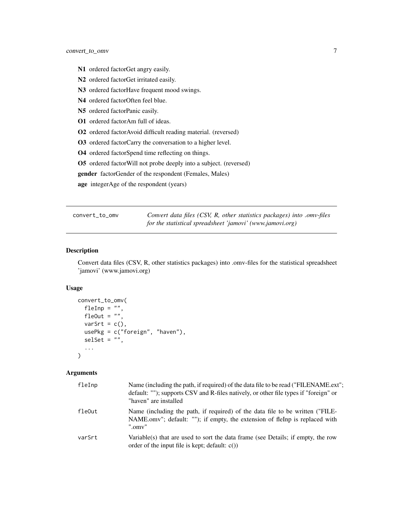- <span id="page-6-0"></span>N1 ordered factorGet angry easily.
- N2 ordered factorGet irritated easily.
- N3 ordered factorHave frequent mood swings.
- N4 ordered factorOften feel blue.
- N5 ordered factorPanic easily.
- O1 ordered factorAm full of ideas.
- O2 ordered factorAvoid difficult reading material. (reversed)
- O3 ordered factorCarry the conversation to a higher level.
- O4 ordered factorSpend time reflecting on things.
- O5 ordered factorWill not probe deeply into a subject. (reversed)
- gender factorGender of the respondent (Females, Males)
- age integerAge of the respondent (years)

convert\_to\_omv *Convert data files (CSV, R, other statistics packages) into .omv-files for the statistical spreadsheet 'jamovi' (www.jamovi.org)*

#### Description

Convert data files (CSV, R, other statistics packages) into .omv-files for the statistical spreadsheet 'jamovi' (www.jamovi.org)

#### Usage

```
convert_to_omv(
 fleInp = ",
  fleOut = ".
 varSrt = c(),
 usePkg = c("foreign", "haven"),
  selset = "",...
)
```

| fleInp | Name (including the path, if required) of the data file to be read ("FILENAME.ext";<br>default: ""); supports CSV and R-files natively, or other file types if "foreign" or<br>"haven" are installed |
|--------|------------------------------------------------------------------------------------------------------------------------------------------------------------------------------------------------------|
| fleOut | Name (including the path, if required) of the data file to be written ("FILE-<br>NAME.omv"; default: ""); if empty, the extension of flelnp is replaced with<br>".omv"                               |
| varSrt | Variable(s) that are used to sort the data frame (see Details; if empty, the row<br>order of the input file is kept; default: $c()$                                                                  |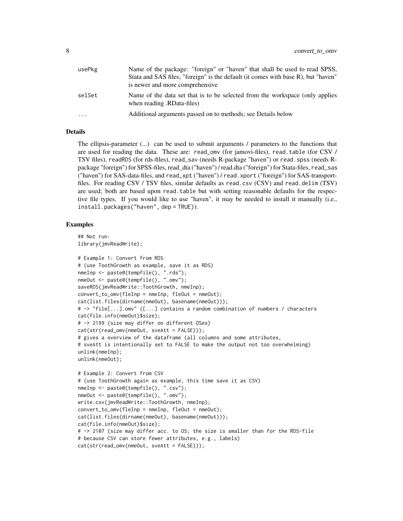| usePkg | Name of the package: "foreign" or "haven" that shall be used to read SPSS,                                 |
|--------|------------------------------------------------------------------------------------------------------------|
|        | Stata and SAS files; "foreign" is the default (it comes with base R), but "haven"                          |
|        | is newer and more comprehensive                                                                            |
| selSet | Name of the data set that is to be selected from the workspace (only applies<br>when reading .RData-files) |
| .      | Additional arguments passed on to methods; see Details below                                               |

#### Details

The ellipsis-parameter (...) can be used to submit arguments / parameters to the functions that are used for reading the data. These are: read\_omv (for jamovi-files), read.table (for CSV / TSV files), readRDS (for rds-files), read\_sav (needs R-package "haven") or read.spss (needs Rpackage "foreign") for SPSS-files, read\_dta ("haven") / read.dta ("foreign") for Stata-files, read\_sas ("haven") for SAS-data-files, and read\_xpt ("haven") / read.xport ("foreign") for SAS-transportfiles. For reading CSV / TSV files, similar defaults as read.csv (CSV) and read.delim (TSV) are used; both are based upon read.table but with setting reasonable defaults for the respective file types. If you would like to use "haven", it may be needed to install it manually (i.e., install.packages("haven", dep = TRUE)).

```
## Not run:
library(jmvReadWrite);
# Example 1: Convert from RDS
# (use ToothGrowth as example, save it as RDS)
nmeInp <- paste0(tempfile(), ".rds");
nmeOut <- paste0(tempfile(), ".omv");
saveRDS(jmvReadWrite::ToothGrowth, nmeInp);
convert\_to\_omv(fleImp = nmeImp, fleOut = nmeOut);cat(list.files(dirname(nmeOut), basename(nmeOut)));
# -> "file[...].omv" ([...] contains a random combination of numbers / characters
cat(file.info(nmeOut)$size);
# -> 2199 (size may differ on different OSes)
cat(str(read_omv(nmeOut, sveAtt = FALSE)));
# gives a overview of the dataframe (all columns and some attributes,
# sveAtt is intentionally set to FALSE to make the output not too overwhelming)
unlink(nmeInp);
unlink(nmeOut);
# Example 2: Convert from CSV
# (use ToothGrowth again as example, this time save it as CSV)
nmeInp <- paste0(tempfile(), ".csv");
nmeOut <- paste0(tempfile(), ".omv");
write.csv(jmvReadWrite::ToothGrowth, nmeInp);
convert_to_omv(fleImp = nmeImp, fleOut = nmeOut);cat(list.files(dirname(nmeOut), basename(nmeOut)));
cat(file.info(nmeOut)$size);
# -> 2107 (size may differ acc. to OS; the size is smaller than for the RDS-file
# because CSV can store fewer attributes, e.g., labels)
cat(str(read_omv(nmeOut, sveAtt = FALSE)));
```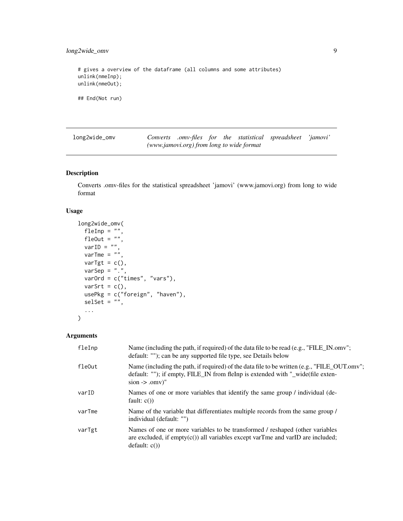<span id="page-8-0"></span>long2wide\_omv 9

# gives a overview of the dataframe (all columns and some attributes) unlink(nmeInp); unlink(nmeOut); ## End(Not run)

long2wide\_omv *Converts .omv-files for the statistical spreadsheet 'jamovi' (www.jamovi.org) from long to wide format*

#### Description

Converts .omv-files for the statistical spreadsheet 'jamovi' (www.jamovi.org) from long to wide format

#### Usage

```
long2wide_omv(
  fleInp = ",
 fleOut = ",
 varID = ",
 varTme = ",
 varTgt = c(),
 varSep = "."varOrd = c("times", "vars"),
 varSrt = c(),
 usePkg = c("foreign", "haven"),
  selSet = "",
  ...
)
```

| fleInp | Name (including the path, if required) of the data file to be read (e.g., "FILE_IN.omv";<br>default: ""); can be any supported file type, see Details below                                         |
|--------|-----------------------------------------------------------------------------------------------------------------------------------------------------------------------------------------------------|
| fleOut | Name (including the path, if required) of the data file to be written (e.g., "FILE_OUT.omv";<br>default: ""); if empty, FILE_IN from fleInp is extended with "_wide(file exten-<br>$sion$ -> .omv)" |
| varID  | Names of one or more variables that identify the same group / individual (de-<br>fault: $c()$                                                                                                       |
| varTme | Name of the variable that differentiates multiple records from the same group /<br>individual (default: "")                                                                                         |
| varTgt | Names of one or more variables to be transformed / reshaped (other variables<br>are excluded, if $empty(c()$ all variables except varTme and varID are included;<br>default: c()                    |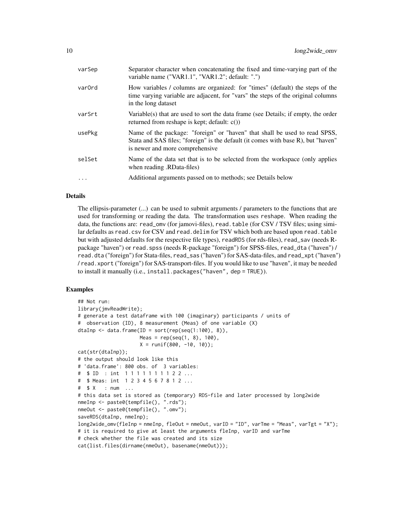| varSep   | Separator character when concatenating the fixed and time-varying part of the<br>variable name ("VAR1.1", "VAR1.2"; default: ".")                                                                  |
|----------|----------------------------------------------------------------------------------------------------------------------------------------------------------------------------------------------------|
| var0rd   | How variables / columns are organized: for "times" (default) the steps of the<br>time varying variable are adjacent, for "vars" the steps of the original columns<br>in the long dataset           |
| varSrt   | Variable(s) that are used to sort the data frame (see Details; if empty, the order<br>returned from reshape is kept; default: $c()$                                                                |
| usePkg   | Name of the package: "foreign" or "haven" that shall be used to read SPSS,<br>Stata and SAS files; "foreign" is the default (it comes with base R), but "haven"<br>is newer and more comprehensive |
| selSet   | Name of the data set that is to be selected from the workspace (only applies)<br>(RData-files) when reading .RData-files                                                                           |
| $\ddots$ | Additional arguments passed on to methods; see Details below                                                                                                                                       |
|          |                                                                                                                                                                                                    |

#### Details

The ellipsis-parameter (...) can be used to submit arguments / parameters to the functions that are used for transforming or reading the data. The transformation uses reshape. When reading the data, the functions are: read\_omv (for jamovi-files), read. table (for CSV / TSV files; using similar defaults as read.csv for CSV and read.delim for TSV which both are based upon read.table but with adjusted defaults for the respective file types), readRDS (for rds-files), read\_sav (needs Rpackage "haven") or read. spss (needs R-package "foreign") for SPSS-files, read\_dta ("haven") / read.dta ("foreign") for Stata-files, read\_sas ("haven") for SAS-data-files, and read\_xpt ("haven") / read.xport ("foreign") for SAS-transport-files. If you would like to use "haven", it may be needed to install it manually (i.e., install.packages("haven", dep = TRUE)).

```
## Not run:
library(jmvReadWrite);
# generate a test dataframe with 100 (imaginary) participants / units of
# observation (ID), 8 measurement (Meas) of one variable (X)
dtaInp \leq data.frame(ID = sort(rep(seq(1:100), 8)),
                    Meas = rep(seq(1, 8), 100),
                    X = runif(800, -10, 10);
cat(str(dtaInp));
# the output should look like this
# 'data.frame': 800 obs. of 3 variables:
# $ ID : int 1 1 1 1 1 1 1 1 2 2 ...
# $ Meas: int 1 2 3 4 5 6 7 8 1 2 ...
# $ X : num ...
# this data set is stored as (temporary) RDS-file and later processed by long2wide
nmeInp <- paste0(tempfile(), ".rds");
nmeOut <- paste0(tempfile(), ".omv");
saveRDS(dtaInp, nmeInp);
long2wide_omv(fleInp = nmeInp, fleOut = nmeOut, varID = "ID", varTme = "Meas", varTgt = "X");
# it is required to give at least the arguments fleInp, varID and varTme
# check whether the file was created and its size
cat(list.files(dirname(nmeOut), basename(nmeOut)));
```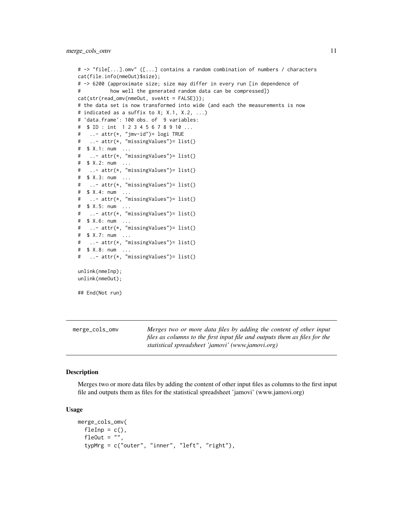```
# -> "file[...].omv" ([...] contains a random combination of numbers / characters
cat(file.info(nmeOut)$size);
# -> 6200 (approximate size; size may differ in every run [in dependence of
# how well the generated random data can be compressed])
cat(str(read_omv(nmeOut, sveAtt = FALSE)));
# the data set is now transformed into wide (and each the measurements is now
# indicated as a suffix to X; X.1, X.2, ...)
# 'data.frame': 100 obs. of 9 variables:
# $ ID : int 1 2 3 4 5 6 7 8 9 10 ...
# ..- attr(*, "jmv-id")= logi TRUE
# ..- attr(*, "missingValues")= list()
# $ X.1: num ...
# ..- attr(*, "missingValues")= list()
# $ X.2: num ...
# ..- attr(*, "missingValues")= list()
# $ X.3: num ...
# ..- attr(*, "missingValues")= list()
# $ X.4: num ...
# ..- attr(*, "missingValues")= list()
# $ X.5: num ...
# ..- attr(*, "missingValues")= list()
# $ X.6: num ...
# ..- attr(*, "missingValues")= list()
# $ X.7: num ...
# ..- attr(*, "missingValues")= list()
# $ X.8: num ...
# ..- attr(*, "missingValues")= list()
unlink(nmeInp);
unlink(nmeOut);
## End(Not run)
```
merge\_cols\_omv *Merges two or more data files by adding the content of other input files as columns to the first input file and outputs them as files for the statistical spreadsheet 'jamovi' (www.jamovi.org)*

#### **Description**

Merges two or more data files by adding the content of other input files as columns to the first input file and outputs them as files for the statistical spreadsheet 'jamovi' (www.jamovi.org)

#### Usage

```
merge_cols_omv(
 fleInp = c(),
 fleOut = ",
  typMrg = c("outer", "inner", "left", "right"),
```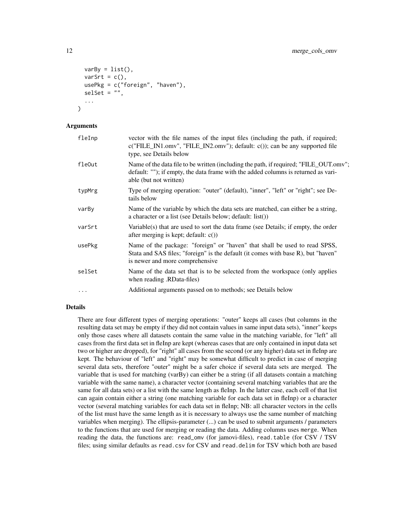```
varBy = list(),
  varSrt = c(),
  usePkg = c("foreign", "haven"),
  self = ""....
\mathcal{L}
```
#### Arguments

| fleInp    | vector with the file names of the input files (including the path, if required;<br>$c("FILE_N1.0mv", "FILE_N2.0mv'); default: c()$ ; can be any supported file<br>type, see Details below             |
|-----------|-------------------------------------------------------------------------------------------------------------------------------------------------------------------------------------------------------|
| fle0ut    | Name of the data file to be written (including the path, if required; "FILE_OUT.omv";<br>default: ""); if empty, the data frame with the added columns is returned as vari-<br>able (but not written) |
| typMrg    | Type of merging operation: "outer" (default), "inner", "left" or "right"; see De-<br>tails below                                                                                                      |
| varBy     | Name of the variable by which the data sets are matched, can either be a string,<br>a character or a list (see Details below; default: list())                                                        |
| varSrt    | Variable(s) that are used to sort the data frame (see Details; if empty, the order<br>after merging is kept; default: $c()$                                                                           |
| usePkg    | Name of the package: "foreign" or "haven" that shall be used to read SPSS,<br>Stata and SAS files; "foreign" is the default (it comes with base R), but "haven"<br>is newer and more comprehensive    |
| selSet    | Name of the data set that is to be selected from the workspace (only applies<br>(RData-files) when reading .RData-files                                                                               |
| $\ddotsc$ | Additional arguments passed on to methods; see Details below                                                                                                                                          |
|           |                                                                                                                                                                                                       |

#### Details

There are four different types of merging operations: "outer" keeps all cases (but columns in the resulting data set may be empty if they did not contain values in same input data sets), "inner" keeps only those cases where all datasets contain the same value in the matching variable, for "left" all cases from the first data set in fleInp are kept (whereas cases that are only contained in input data set two or higher are dropped), for "right" all cases from the second (or any higher) data set in fleInp are kept. The behaviour of "left" and "right" may be somewhat difficult to predict in case of merging several data sets, therefore "outer" might be a safer choice if several data sets are merged. The variable that is used for matching (varBy) can either be a string (if all datasets contain a matching variable with the same name), a character vector (containing several matching variables that are the same for all data sets) or a list with the same length as fleInp. In the latter case, each cell of that list can again contain either a string (one matching variable for each data set in fleInp) or a character vector (several matching variables for each data set in fleInp; NB: all character vectors in the cells of the list must have the same length as it is necessary to always use the same number of matching variables when merging). The ellipsis-parameter (...) can be used to submit arguments / parameters to the functions that are used for merging or reading the data. Adding columns uses merge. When reading the data, the functions are: read\_omv (for jamovi-files), read.table (for CSV / TSV files; using similar defaults as read.csv for CSV and read.delim for TSV which both are based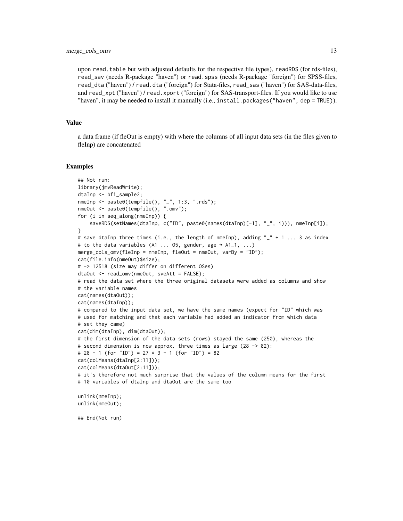upon read.table but with adjusted defaults for the respective file types), readRDS (for rds-files), read\_sav (needs R-package "haven") or read.spss (needs R-package "foreign") for SPSS-files, read\_dta ("haven") / read.dta ("foreign") for Stata-files, read\_sas ("haven") for SAS-data-files, and read\_xpt ("haven") / read.xport ("foreign") for SAS-transport-files. If you would like to use "haven", it may be needed to install it manually (i.e., install.packages("haven", dep = TRUE)).

#### Value

a data frame (if fleOut is empty) with where the columns of all input data sets (in the files given to fleInp) are concatenated

#### Examples

```
## Not run:
library(jmvReadWrite);
dtaInp <- bfi_sample2;
nmeInp <- paste0(tempfile(), "_", 1:3, ".rds");
nmeOut <- paste0(tempfile(), ".omv");
for (i in seq_along(nmeInp)) {
    saveRDS(setNames(dtaInp, c("ID", paste0(names(dtaInp)[-1], "_", i))), nmeInp[i]);
}
# save dtaInp three times (i.e., the length of nmeInp), adding "_+" + 1 ... 3 as index
# to the data variables (A1 ... 05, gender, age \rightarrow A1_1, ...)
merge_cols_omv(fleInp = nmeInp, fleOut = nmeOut, varBy = "ID");
cat(file.info(nmeOut)$size);
# -> 12518 (size may differ on different OSes)
dtaOut <- read_omv(nmeOut, sveAtt = FALSE);
# read the data set where the three original datasets were added as columns and show
# the variable names
cat(names(dtaOut));
cat(names(dtaInp));
# compared to the input data set, we have the same names (expect for "ID" which was
# used for matching and that each variable had added an indicator from which data
# set they came)
cat(dim(dtaInp), dim(dtaOut));
# the first dimension of the data sets (rows) stayed the same (250), whereas the
# second dimension is now approx. three times as large (28 -> 82):
# 28 - 1 (for "ID") = 27 * 3 + 1 (for "ID") = 82
cat(colMeans(dtaInp[2:11]));
cat(colMeans(dtaOut[2:11]));
# it's therefore not much surprise that the values of the column means for the first
# 10 variables of dtaInp and dtaOut are the same too
unlink(nmeInp);
unlink(nmeOut);
```
## End(Not run)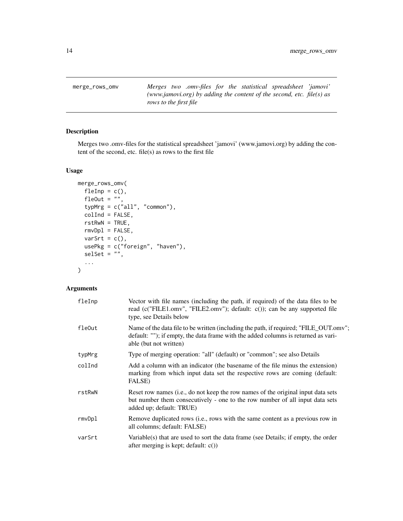<span id="page-13-0"></span>merge\_rows\_omv *Merges two .omv-files for the statistical spreadsheet 'jamovi' (www.jamovi.org) by adding the content of the second, etc. file(s) as rows to the first file*

#### Description

Merges two .omv-files for the statistical spreadsheet 'jamovi' (www.jamovi.org) by adding the content of the second, etc. file(s) as rows to the first file

#### Usage

```
merge_rows_omv(
 fleInp = c(),
 fleOut = ",
 typMrg = c("all", "common"),
 collnd = FALSE,rstRwN = TRUE,
 rmvDpl = FALSE,varSrt = c(),
 usePkg = c("foreign", "haven"),
 self = "",...
)
```

| fleInp | Vector with file names (including the path, if required) of the data files to be<br>read (c("FILE1.omv", "FILE2.omv"); default: $c()$ ; can be any supported file<br>type, see Details below          |
|--------|-------------------------------------------------------------------------------------------------------------------------------------------------------------------------------------------------------|
| fle0ut | Name of the data file to be written (including the path, if required; "FILE_OUT.omv";<br>default: ""); if empty, the data frame with the added columns is returned as vari-<br>able (but not written) |
| typMrg | Type of merging operation: "all" (default) or "common"; see also Details                                                                                                                              |
| colInd | Add a column with an indicator (the basename of the file minus the extension)<br>marking from which input data set the respective rows are coming (default:<br>FALSE)                                 |
| rstRwN | Reset row names (i.e., do not keep the row names of the original input data sets<br>but number them consecutively - one to the row number of all input data sets<br>added up; default: TRUE)          |
| rmvDpl | Remove duplicated rows (i.e., rows with the same content as a previous row in<br>all columns; default: FALSE)                                                                                         |
| varSrt | Variable(s) that are used to sort the data frame (see Details; if empty, the order<br>after merging is kept; default: $c()$                                                                           |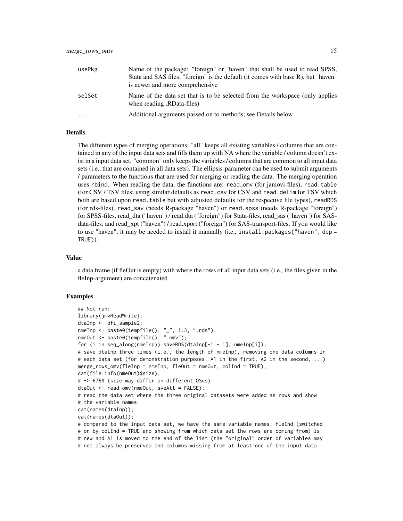| usePkg   | Name of the package: "foreign" or "haven" that shall be used to read SPSS,<br>Stata and SAS files; "foreign" is the default (it comes with base R), but "haven"<br>is newer and more comprehensive |
|----------|----------------------------------------------------------------------------------------------------------------------------------------------------------------------------------------------------|
| selSet   | Name of the data set that is to be selected from the workspace (only applies<br>(RData-files) when reading.                                                                                        |
| $\cdots$ | Additional arguments passed on to methods; see Details below                                                                                                                                       |

#### Details

The different types of merging operations: "all" keeps all existing variables / columns that are contained in any of the input data sets and fills them up with NA where the variable / column doesn't exist in a input data set. "common" only keeps the variables / columns that are common to all input data sets (i.e., that are contained in all data sets). The ellipsis-parameter can be used to submit arguments / parameters to the functions that are used for merging or reading the data. The merging operation uses rbind. When reading the data, the functions are: read\_omv (for jamovi-files), read.table (for CSV / TSV files; using similar defaults as read.csv for CSV and read.delim for TSV which both are based upon read. table but with adjusted defaults for the respective file types), readRDS (for rds-files), read\_sav (needs R-package "haven") or read.spss (needs R-package "foreign") for SPSS-files, read\_dta ("haven") / read.dta ("foreign") for Stata-files, read\_sas ("haven") for SASdata-files, and read\_xpt ("haven") / read.xport ("foreign") for SAS-transport-files. If you would like to use "haven", it may be needed to install it manually (i.e., install.packages("haven", dep = TRUE)).

#### Value

a data frame (if fleOut is empty) with where the rows of all input data sets (i.e., the files given in the fleInp-argument) are concatenated

```
## Not run:
library(jmvReadWrite);
dtaInp <- bfi_sample2;
nmeInp <- paste0(tempfile(), "_", 1:3, ".rds");
nmeOut <- paste0(tempfile(), ".omv");
for (i in seq_along(nmeInp)) saveRDS(dtaInp[-i - 1], nmeInp[i]);
# save dtaInp three times (i.e., the length of nmeInp), removing one data columns in
# each data set (for demonstration purposes, A1 in the first, A2 in the second, ...)
merge_rows_omv(fleInp = nmeInp, fleOut = nmeOut, colInd = TRUE);
cat(file.info(nmeOut)$size);
# -> 6768 (size may differ on different OSes)
dtaOut <- read_omv(nmeOut, sveAtt = FALSE);
# read the data set where the three original datasets were added as rows and show
# the variable names
cat(names(dtaInp));
cat(names(dtaOut));
# compared to the input data set, we have the same variable names; fleInd (switched
# on by colInd = TRUE and showing from which data set the rows are coming from) is
# new and A1 is moved to the end of the list (the "original" order of variables may
# not always be preserved and columns missing from at least one of the input data
```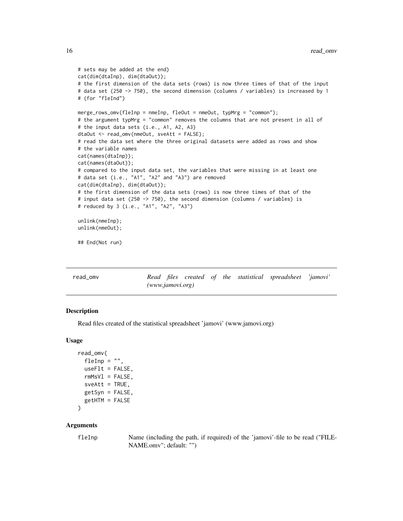```
# sets may be added at the end)
cat(dim(dtaInp), dim(dtaOut));
# the first dimension of the data sets (rows) is now three times of that of the input
# data set (250 -> 750), the second dimension (columns / variables) is increased by 1
# (for "fleInd")
merge_rows_omv(fleInp = nmeInp, fleOut = nmeOut, typMrg = "common");
# the argument typMrg = "common" removes the columns that are not present in all of
# the input data sets (i.e., A1, A2, A3)
dtaOut <- read_omv(nmeOut, sveAtt = FALSE);
# read the data set where the three original datasets were added as rows and show
# the variable names
cat(names(dtaInp));
cat(names(dtaOut));
# compared to the input data set, the variables that were missing in at least one
# data set (i.e., "A1", "A2" and "A3") are removed
cat(dim(dtaInp), dim(dtaOut));
# the first dimension of the data sets (rows) is now three times of that of the
# input data set (250 -> 750), the second dimension (columns / variables) is
# reduced by 3 (i.e., "A1", "A2", "A3")
unlink(nmeInp);
unlink(nmeOut);
## End(Not run)
```

| read omv |                    |  |  | Read files created of the statistical spreadsheet 'jamovi' |  |
|----------|--------------------|--|--|------------------------------------------------------------|--|
|          | (www.javamovi.org) |  |  |                                                            |  |

#### Description

Read files created of the statistical spreadsheet 'jamovi' (www.jamovi.org)

#### Usage

```
read_omv(
  fleInp = "",
 useFlt = FALSE,rmMsVI = FALSE,sveAtt = TRUE,getSyn = FALSE,
 getHTM = FALSE
\lambda
```

```
fleInp Name (including the path, if required) of the 'jamovi'-file to be read ("FILE-
                NAME.omv"; default: "")
```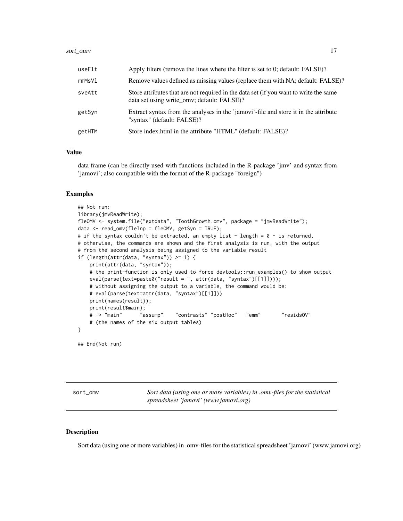#### <span id="page-16-0"></span>sort\_omv 17

| useFlt | Apply filters (remove the lines where the filter is set to 0; default: FALSE)?                                                      |
|--------|-------------------------------------------------------------------------------------------------------------------------------------|
| rmMsVl | Remove values defined as missing values (replace them with NA; default: FALSE)?                                                     |
| sveAtt | Store attributes that are not required in the data set (if you want to write the same<br>data set using write omv; default: FALSE)? |
| getSyn | Extract syntax from the analyses in the 'jamovi'-file and store it in the attribute<br>"syntax" (default: FALSE)?                   |
| getHTM | Store index.html in the attribute "HTML" (default: FALSE)?                                                                          |

#### Value

data frame (can be directly used with functions included in the R-package 'jmv' and syntax from 'jamovi'; also compatible with the format of the R-package "foreign")

#### Examples

```
## Not run:
library(jmvReadWrite);
fleOMV <- system.file("extdata", "ToothGrowth.omv", package = "jmvReadWrite");
data <- read_omv(fleInp = fleOMV, getSyn = TRUE);
# if the syntax couldn't be extracted, an empty list - length = 0 - is returned,
# otherwise, the commands are shown and the first analysis is run, with the output
# from the second analysis being assigned to the variable result
if (length(attr(data, "syntax")) >= 1) {
   print(attr(data, "syntax"));
    # the print-function is only used to force devtools::run_examples() to show output
   eval(parse(text=paste0("result = ", attr(data, "syntax")[[1]])));
   # without assigning the output to a variable, the command would be:
   # eval(parse(text=attr(data, "syntax")[[1]]))
   print(names(result));
   print(result$main);
    # -> "main" "assump" "contrasts" "postHoc" "emm" "residsOV"
    # (the names of the six output tables)
}
```

```
## End(Not run)
```
sort\_omv *Sort data (using one or more variables) in .omv-files for the statistical spreadsheet 'jamovi' (www.jamovi.org)*

#### **Description**

Sort data (using one or more variables) in .omv-files for the statistical spreadsheet 'jamovi' (www.jamovi.org)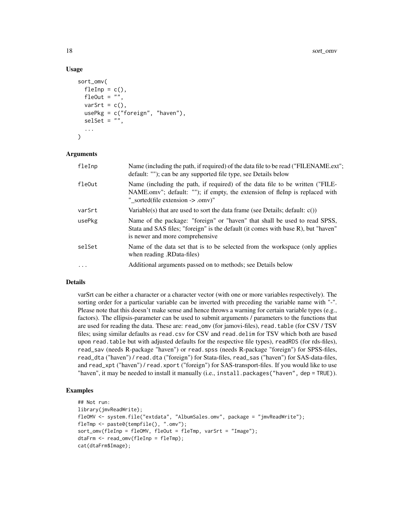#### Usage

```
sort_omv(
  fleInp = c(),
  fleOut = ",
 varSrt = c(),
 usePkg = c("foreign", "haven"),
  self = ""....
\lambda
```
#### Arguments

| fleInp    | Name (including the path, if required) of the data file to be read ("FILENAME.ext";<br>default: ""); can be any supported file type, see Details below                                             |
|-----------|----------------------------------------------------------------------------------------------------------------------------------------------------------------------------------------------------|
| fle0ut    | Name (including the path, if required) of the data file to be written ("FILE-<br>NAME.omv"; default: ""); if empty, the extension of fleInp is replaced with<br>" sorted(file extension -> .omv)"  |
| varSrt    | Variable(s) that are used to sort the data frame (see Details; default: $c()$ )                                                                                                                    |
| usePkg    | Name of the package: "foreign" or "haven" that shall be used to read SPSS,<br>Stata and SAS files; "foreign" is the default (it comes with base R), but "haven"<br>is newer and more comprehensive |
| selSet    | Name of the data set that is to be selected from the workspace (only applies<br>(RData-files) when reading.                                                                                        |
| $\ddotsc$ | Additional arguments passed on to methods; see Details below                                                                                                                                       |

#### Details

varSrt can be either a character or a character vector (with one or more variables respectively). The sorting order for a particular variable can be inverted with preceding the variable name with "-". Please note that this doesn't make sense and hence throws a warning for certain variable types (e.g., factors). The ellipsis-parameter can be used to submit arguments / parameters to the functions that are used for reading the data. These are: read\_omv (for jamovi-files), read.table (for CSV / TSV files; using similar defaults as read.csv for CSV and read.delim for TSV which both are based upon read.table but with adjusted defaults for the respective file types), readRDS (for rds-files), read\_sav (needs R-package "haven") or read.spss (needs R-package "foreign") for SPSS-files, read\_dta ("haven") / read.dta ("foreign") for Stata-files, read\_sas ("haven") for SAS-data-files, and read\_xpt ("haven") / read.xport ("foreign") for SAS-transport-files. If you would like to use "haven", it may be needed to install it manually (i.e., install.packages("haven", dep = TRUE)).

```
## Not run:
library(jmvReadWrite);
fleOMV <- system.file("extdata", "AlbumSales.omv", package = "jmvReadWrite");
fleTmp <- paste0(tempfile(), ".omv");
sort_omv(fleInp = fleOMV, fleOut = fleTmp, varSrt = "Image");
dtaFrm <- read_omv(fleInp = fleTmp);
cat(dtaFrm$Image);
```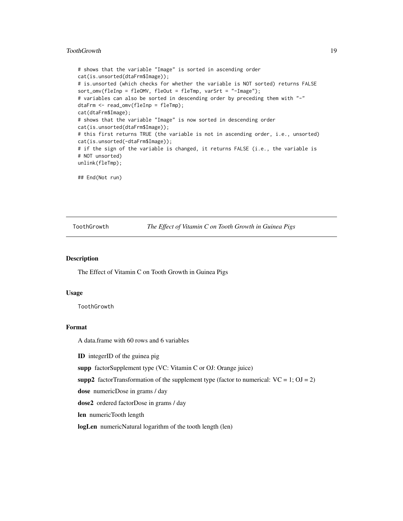#### <span id="page-18-0"></span>ToothGrowth 19

```
# shows that the variable "Image" is sorted in ascending order
cat(is.unsorted(dtaFrm$Image));
# is.unsorted (which checks for whether the variable is NOT sorted) returns FALSE
sort_omv(fleInp = fleOMV, fleOut = fleTmp, varSrt = "-Image");
# variables can also be sorted in descending order by preceding them with "-"
dtaFrm <- read_omv(fleInp = fleTmp);
cat(dtaFrm$Image);
# shows that the variable "Image" is now sorted in descending order
cat(is.unsorted(dtaFrm$Image));
# this first returns TRUE (the variable is not in ascending order, i.e., unsorted)
cat(is.unsorted(-dtaFrm$Image));
# if the sign of the variable is changed, it returns FALSE (i.e., the variable is
# NOT unsorted)
unlink(fleTmp);
```
## End(Not run)

ToothGrowth *The Effect of Vitamin C on Tooth Growth in Guinea Pigs*

#### **Description**

The Effect of Vitamin C on Tooth Growth in Guinea Pigs

#### Usage

ToothGrowth

#### Format

A data.frame with 60 rows and 6 variables

ID integerID of the guinea pig

supp factorSupplement type (VC: Vitamin C or OJ: Orange juice)

supp2 factorTransformation of the supplement type (factor to numerical:  $VC = 1$ ;  $OJ = 2$ )

dose numericDose in grams / day

dose2 ordered factorDose in grams / day

len numericTooth length

logLen numericNatural logarithm of the tooth length (len)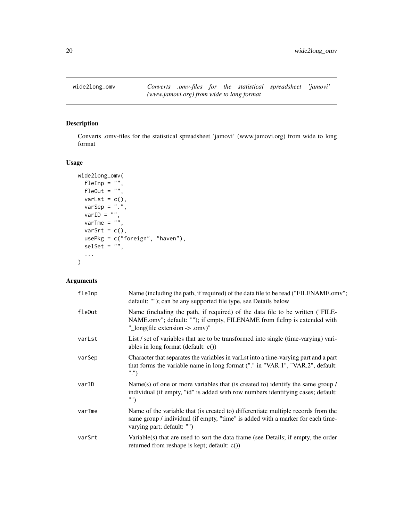<span id="page-19-0"></span>

#### Description

Converts .omv-files for the statistical spreadsheet 'jamovi' (www.jamovi.org) from wide to long format

#### Usage

```
wide2long_omv(
 fleInp = ",
 fleOut = ",
 varLst = c(),
 varSep = "."varID ="",
 varTme = "",
 varSrt = c(),
 usePkg = c("foreign", "haven"),
 selset = "",...
)
```

| fleInp | Name (including the path, if required) of the data file to be read ("FILENAME.omv";<br>default: ""); can be any supported file type, see Details below                                                  |
|--------|---------------------------------------------------------------------------------------------------------------------------------------------------------------------------------------------------------|
| fleOut | Name (including the path, if required) of the data file to be written ("FILE-<br>NAME.omv"; default: ""); if empty, FILENAME from fleInp is extended with<br>" long(file extension $\rightarrow$ .omv)" |
| varLst | List / set of variables that are to be transformed into single (time-varying) vari-<br>ables in long format (default: $c()$ )                                                                           |
| varSep | Character that separates the variables in varLst into a time-varying part and a part<br>that forms the variable name in long format ("." in "VAR.1", "VAR.2", default:<br>"." $)$                       |
| varID  | Name(s) of one or more variables that (is created to) identify the same group /<br>individual (if empty, "id" is added with row numbers identifying cases; default:<br>"")                              |
| varTme | Name of the variable that (is created to) differentiate multiple records from the<br>same group / individual (if empty, "time" is added with a marker for each time-<br>varying part; default: "")      |
| varSrt | Variable(s) that are used to sort the data frame (see Details; if empty, the order<br>returned from reshape is kept; default: $c()$                                                                     |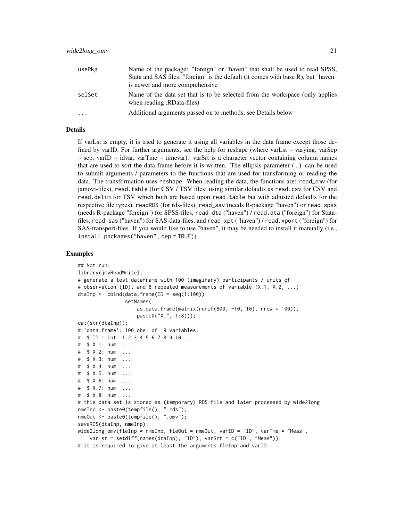| usePkg  | Name of the package: "foreign" or "haven" that shall be used to read SPSS,<br>Stata and SAS files; "foreign" is the default (it comes with base R), but "haven"<br>is newer and more comprehensive |
|---------|----------------------------------------------------------------------------------------------------------------------------------------------------------------------------------------------------|
| selSet  | Name of the data set that is to be selected from the workspace (only applies<br>(RData-files) when reading.                                                                                        |
| $\cdot$ | Additional arguments passed on to methods; see Details below                                                                                                                                       |

#### Details

If varLst is empty, it is tried to generate it using all variables in the data frame except those defined by varID. For further arguments, see the help for reshape (where varLst  $\sim$  varying, varSep  $\sim$  sep, varID  $\sim$  idvar, varTme  $\sim$  timevar). varSrt is a character vector containing column names that are used to sort the data frame before it is written. The ellipsis-parameter (...) can be used to submit arguments / parameters to the functions that are used for transforming or reading the data. The transformation uses reshape. When reading the data, the functions are: read\_omv (for jamovi-files), read.table (for CSV / TSV files; using similar defaults as read.csv for CSV and read.delim for TSV which both are based upon read.table but with adjusted defaults for the respective file types), readRDS (for rds-files), read\_sav (needs R-package "haven") or read.spss (needs R-package "foreign") for SPSS-files, read\_dta ("haven") / read.dta ("foreign") for Statafiles, read\_sas ("haven") for SAS-data-files, and read\_xpt ("haven") / read.xport ("foreign") for SAS-transport-files. If you would like to use "haven", it may be needed to install it manually (i.e., install.packages("haven", dep = TRUE)).

```
## Not run:
library(jmvReadWrite);
# generate a test dataframe with 100 (imaginary) participants / units of
# observation (ID), and 8 repeated measurements of variable (X.1, X.2, ...)
dtaInp \leq cbind(data.frame(ID = seq(1:100)),
                setNames(
                    as.data.frame(matrix(runif(800, -10, 10), nrow = 100)),
                   paste0("X.", 1:8)));
cat(str(dtaInp));
# 'data.frame': 100 obs. of 9 variables:
# $ ID : int 1 2 3 4 5 6 7 8 9 10 ...
# $ X.1: num ...
# $ X.2: num ...
# $ X.3: num ...
# $ X.4: num ...
# $ X.5: num ...
# $ X.6: num ...
# $ X.7: num ...
# $ X.8: num ...
# this data set is stored as (temporary) RDS-file and later processed by wide2long
nmeInp <- paste0(tempfile(), ".rds");
nmeOut <- paste0(tempfile(), ".omv");
saveRDS(dtaInp, nmeInp);
wide2long_omv(fleInp = nmeInp, fleOut = nmeOut, varID = "ID", varTme = "Meas",
    varLst = setdiff(names(dtaInp), "ID"), varSrt = c("ID", "Meas"));# it is required to give at least the arguments fleInp and varID
```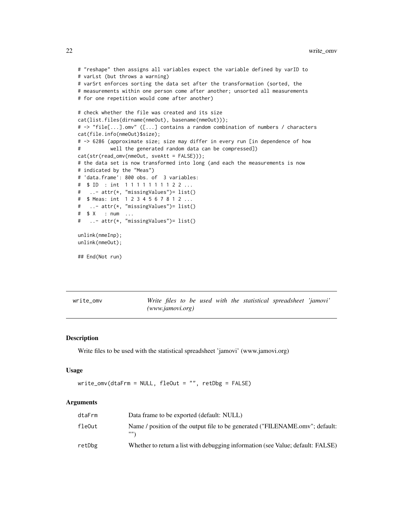```
# "reshape" then assigns all variables expect the variable defined by varID to
# varLst (but throws a warning)
# varSrt enforces sorting the data set after the transformation (sorted, the
# measurements within one person come after another; unsorted all measurements
# for one repetition would come after another)
# check whether the file was created and its size
cat(list.files(dirname(nmeOut), basename(nmeOut)));
# -> "file[...].omv" ([...] contains a random combination of numbers / characters
cat(file.info(nmeOut)$size);
# -> 6286 (approximate size; size may differ in every run [in dependence of how
# well the generated random data can be compressed])
cat(str(read_omv(nmeOut, sveAtt = FALSE)));
# the data set is now transformed into long (and each the measurements is now
# indicated by the "Meas")
# 'data.frame': 800 obs. of 3 variables:
# $ ID : int 1 1 1 1 1 1 1 1 2 2 ...
# ..- attr(*, "missingValues")= list()
# $ Meas: int 1 2 3 4 5 6 7 8 1 2 ...
# ..- attr(*, "missingValues")= list()
# $ X : num ...
# ..- attr(*, "missingValues")= list()
unlink(nmeInp);
unlink(nmeOut);
## End(Not run)
```
write\_omv *Write files to be used with the statistical spreadsheet 'jamovi' (www.jamovi.org)*

#### Description

Write files to be used with the statistical spreadsheet 'jamovi' (www.jamovi.org)

#### Usage

```
write_omv(dtaFrm = NULL, fleOut = "", retDbg = FALSE)
```

| dtaFrm | Data frame to be exported (default: NULL)                                       |
|--------|---------------------------------------------------------------------------------|
| fleOut | Name / position of the output file to be generated ("FILENAME.omv"; default:    |
| retDbg | Whether to return a list with debugging information (see Value; default: FALSE) |

<span id="page-21-0"></span>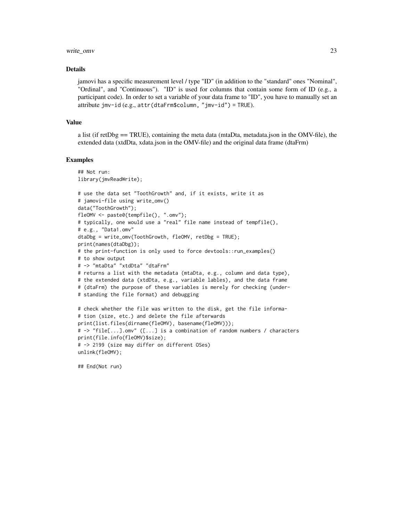#### write\_omv 23

#### Details

jamovi has a specific measurement level / type "ID" (in addition to the "standard" ones "Nominal", "Ordinal", and "Continuous"). "ID" is used for columns that contain some form of ID (e.g., a participant code). In order to set a variable of your data frame to "ID", you have to manually set an attribute jmv-id (e.g., attr(dtaFrm\$column, "jmv-id") = TRUE).

#### Value

a list (if retDbg  $=$  TRUE), containing the meta data (mtaDta, metadata.json in the OMV-file), the extended data (xtdDta, xdata.json in the OMV-file) and the original data frame (dtaFrm)

#### Examples

```
## Not run:
library(jmvReadWrite);
# use the data set "ToothGrowth" and, if it exists, write it as
# jamovi-file using write_omv()
data("ToothGrowth");
fleOMV <- paste0(tempfile(), ".omv");
# typically, one would use a "real" file name instead of tempfile(),
# e.g., "Data1.omv"
dtaDbg = write_omv(ToothGrowth, fleOMV, retDbg = TRUE);
print(names(dtaDbg));
# the print-function is only used to force devtools::run_examples()
# to show output
# -> "mtaDta" "xtdDta" "dtaFrm"
# returns a list with the metadata (mtaDta, e.g., column and data type),
# the extended data (xtdDta, e.g., variable lables), and the data frame
# (dtaFrm) the purpose of these variables is merely for checking (under-
# standing the file format) and debugging
# check whether the file was written to the disk, get the file informa-
# tion (size, etc.) and delete the file afterwards
print(list.files(dirname(fleOMV), basename(fleOMV)));
# -> "file[...].omv" ([...] is a combination of random numbers / characters
print(file.info(fleOMV)$size);
# -> 2199 (size may differ on different OSes)
unlink(fleOMV);
```
## End(Not run)